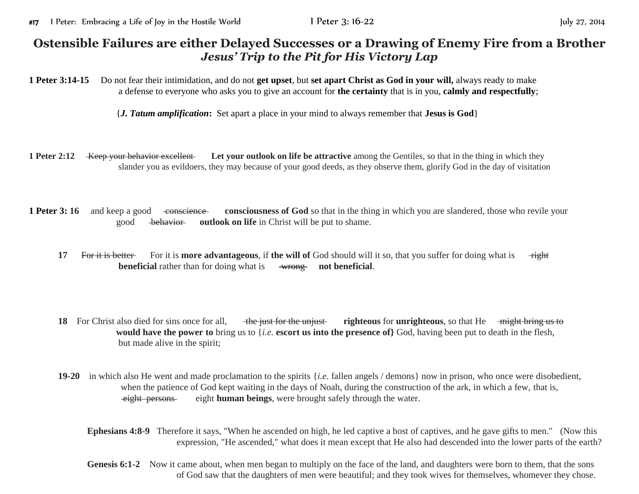## **Ostensible Failures are either Delayed Successes or a Drawing of Enemy Fire from a Brother** *Jesus' Trip to the Pit for His Victory Lap*

**1 Peter 3:14-15** Do not fear their intimidation, and do not **get upset**, but **set apart Christ as God in your will,** always ready to make a defense to everyone who asks you to give an account for **the certainty** that is in you, **calmly and respectfully**;

{*J. Tatum amplification***:** Set apart a place in your mind to always remember that **Jesus is God**}

- **1 Peter 2:12** Keep your behavior excellent Let your outlook on life be attractive among the Gentiles, so that in the thing in which they slander you as evildoers, they may because of your good deeds, as they observe them, glorify God in the day of visitation
- **1 Peter 3: 16** and keep a good conscience consciousness of God so that in the thing in which you are slandered, those who revile your good behavior **outlook on life** in Christ will be put to shame.
	- **17** For it is better For it is more advantageous, if the will of God should will it so, that you suffer for doing what is right **beneficial** rather than for doing what is wrong not beneficial.
	- **18** For Christ also died for sins once for all, the just for the unjust righteous for **unrighteous**, so that He might bring us to **would have the power to** bring us to {*i.e.* **escort us into the presence of}** God, having been put to death in the flesh, but made alive in the spirit;
	- **19-20** in which also He went and made proclamation to the spirits {*i.e.* fallen angels / demons} now in prison, who once were disobedient, when the patience of God kept waiting in the days of Noah, during the construction of the ark, in which a few, that is, eight persons eight **human beings**, were brought safely through the water.
		- **Ephesians 4:8-9** Therefore it says, "When he ascended on high, he led captive a host of captives, and he gave gifts to men." (Now this expression, "He ascended," what does it mean except that He also had descended into the lower parts of the earth?
		- Genesis 6:1-2 Now it came about, when men began to multiply on the face of the land, and daughters were born to them, that the sons of God saw that the daughters of men were beautiful; and they took wives for themselves, whomever they chose.